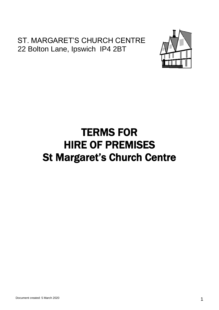### ST. MARGARET'S CHURCH CENTRE 22 Bolton Lane, Ipswich IP4 2BT



# TERMS FOR HIRE OF PREMISES St Margaret's Church Centre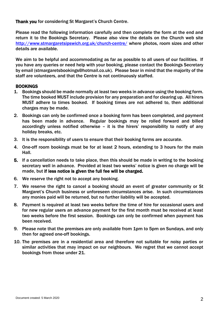Thank you for considering St Margaret's Church Centre.

Please read the following information carefully and then complete the form at the end and return it to the Bookings Secretary. Please also view the details on the Church web site http://www.stmargaretsipswich.org.uk/church-centre/ where photos, room sizes and other details are available.

We aim to be helpful and accommodating as far as possible to all users of our facilities. If you have any queries or need help with your booking, please contact the Bookings Secretary by email (stmargaretsbookings@hotmail.co.uk). Please bear in mind that the majority of the staff are volunteers, and that the Centre is not continuously staffed.

#### BOOKINGS

- 1. Bookings should be made normally at least two weeks in advance using the booking form. The time booked MUST include provision for any preparation and for clearing up. All hirers MUST adhere to times booked. If booking times are not adhered to, then additional charges may be made.
- 2. Bookings can only be confirmed once a booking form has been completed, and payment has been made in advance. Regular bookings may be rolled forward and billed accordingly unless notified otherwise – it is the hirers' responsibility to notify of any holiday breaks, etc.
- 3. It is the responsibility of users to ensure that their booking forms are accurate.
- 4. One-off room bookings must be for at least 2 hours, extending to 3 hours for the main Hall.
- 5. If a cancellation needs to take place, then this should be made in writing to the booking secretary well in advance. Provided at least two weeks' notice is given no charge will be made, but if less notice is given the full fee will be charged.
- 6. We reserve the right not to accept any booking.
- 7. We reserve the right to cancel a booking should an event of greater community or St Margaret's Church business or unforeseen circumstances arise. In such circumstances any monies paid will be returned, but no further liability will be accepted.
- 8. Payment is required at least two weeks before the time of hire for occasional users and for new regular users an advance payment for the first month must be received at least two weeks before the first session. Bookings can only be confirmed when payment has been received.
- 9. Please note that the premises are only available from 1pm to 5pm on Sundays, and only then for agreed one-off bookings.
- 10. The premises are in a residential area and therefore not suitable for noisy parties or similar activities that may impact on our neighbours. We regret that we cannot accept bookings from those under 21.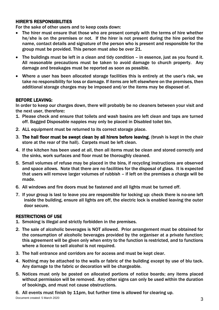#### HIRER'S RESPONSIBILITIES

For the sake of other users and to keep costs down:

- The hirer must ensure that those who are present comply with the terms of hire whether he/she is on the premises or not. If the hirer is not present during the hire period the name, contact details and signature of the person who is present and responsible for the group must be provided. This person must also be over 21.
- The buildings must be left in a clean and tidy condition in essence, just as you found it. All reasonable precautions must be taken to avoid damage to church property. Any damage and breakages must be reported as soon as possible.
- Where a user has been allocated storage facilities this is entirely at the user's risk, we take no responsibility for loss or damage. If items are left elsewhere on the premises, then additional storage charges may be imposed and/or the items may be disposed of.

#### BEFORE LEAVING:

In order to keep our charges down, there will probably be no cleaners between your visit and the next user, therefore:

- 1. Please check and ensure that toilets and wash basins are left clean and taps are turned off. Bagged Disposable nappies may only be placed in Disabled toilet bin.
- 2. ALL equipment must be returned to its correct storage place.
- 3. The hall floor must be swept clean by all hirers before leaving, (brush is kept in the chair store at the rear of the hall). Carpets must be left clean.
- 4. If the kitchen has been used at all, then all items must be clean and stored correctly and the sinks, work surfaces and floor must be thoroughly cleaned.
- 5. Small volumes of refuse may be placed in the bins, if recycling instructions are observed and space allows. Note that there are no facilities for the disposal of glass. It is expected that users will remove larger volumes of rubbish – if left on the premises a charge will be made.
- 6. All windows and fire doors must be fastened and all lights must be turned off.
- 7. If your group is last to leave you are responsible for locking up: check there is no-one left inside the building, ensure all lights are off, the electric lock is enabled leaving the outer door secure.

#### RESTRICTIONS OF USE

- 1. Smoking is illegal and strictly forbidden in the premises.
- 2. The sale of alcoholic beverages is NOT allowed. Prior arrangement must be obtained for the consumption of alcoholic beverages provided by the organiser at a private function; this agreement will be given only when entry to the function is restricted, and to functions where a licence to sell alcohol is not required.
- 3. The hall entrance and corridors are for access and must be kept clear.
- 4. Nothing may be attached to the walls or fabric of the building except by use of blu tack. Any damage to the fabric or decoration will be chargeable.
- 5. Notices must only be posted on allocated portions of notice boards; any items placed without permission will be removed. Any other signs can only be used within the duration of bookings, and must not cause obstructions.

6. All events must finish by 11pm, but further time is allowed for clearing up.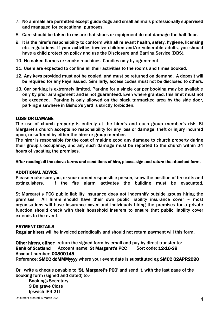- 7. No animals are permitted except guide dogs and small animals professionally supervised and managed for educational purposes.
- 8. Care should be taken to ensure that shoes or equipment do not damage the hall floor.
- 9. It is the hirer's responsibility to conform with all relevant health, safety, hygiene, licensing etc. regulations. If your activities involve children and/or vulnerable adults, you should have a child protection policy and use the Disclosure and Barring Service (DBS).
- 10. No naked flames or smoke machines. Candles only by agreement.
- 11. Users are expected to confine all their activities to the rooms and times booked.
- 12. Any keys provided must not be copied, and must be returned on demand. A deposit will be required for any keys issued. Similarly, access codes must not be disclosed to others.
- 13. Car parking is extremely limited. Parking for a single car per booking may be available only by prior arrangement and is not guaranteed. Even where granted, this limit must not be exceeded. Parking is only allowed on the black tarmacked area by the side door, parking elsewhere in Bishop's yard is strictly forbidden.

#### LOSS OR DAMAGE

The use of church property is entirely at the hirer's and each group member's risk. St Margaret's church accepts no responsibility for any loss or damage, theft or injury incurred upon, or suffered by either the hirer or group member.

The hirer is responsible for the cost of making good any damage to church property during their group's occupancy, and any such damage must be reported to the church within 24 hours of vacating the premises.

After reading all the above terms and conditions of hire, please sign and return the attached form.

#### ADDITIONAL ADVICE

Please make sure you, or your named responsible person, know the position of fire exits and extinguishers. If the fire alarm activates the building must be evacuated.

St Margaret's PCC public liability insurance does not indemnify outside groups hiring the premises. All hirers should have their own public liability insurance cover – most organisations will have insurance cover and individuals hiring the premises for a private function should check with their household insurers to ensure that public liability cover extends to the event.

#### PAYMENT DETAILS

Regular hirers will be invoiced periodically and should not return payment will this form.

Other hirers, either: return the signed form by email and pay by direct transfer to: Bank of Scotland Account name: St Margaret's PCC Sort code: 12-16-39 Account number: 00800145 Reference: SMCC ddMMMyyyy where your event date is substituted eg SMCC 02APR2020

Or: write a cheque payable to 'St. Margaret's PCC' and send it, with the last page of the booking form (signed and dated) to:-

Bookings Secretary 9 Belgrave Close Ipswich IP4 2TT